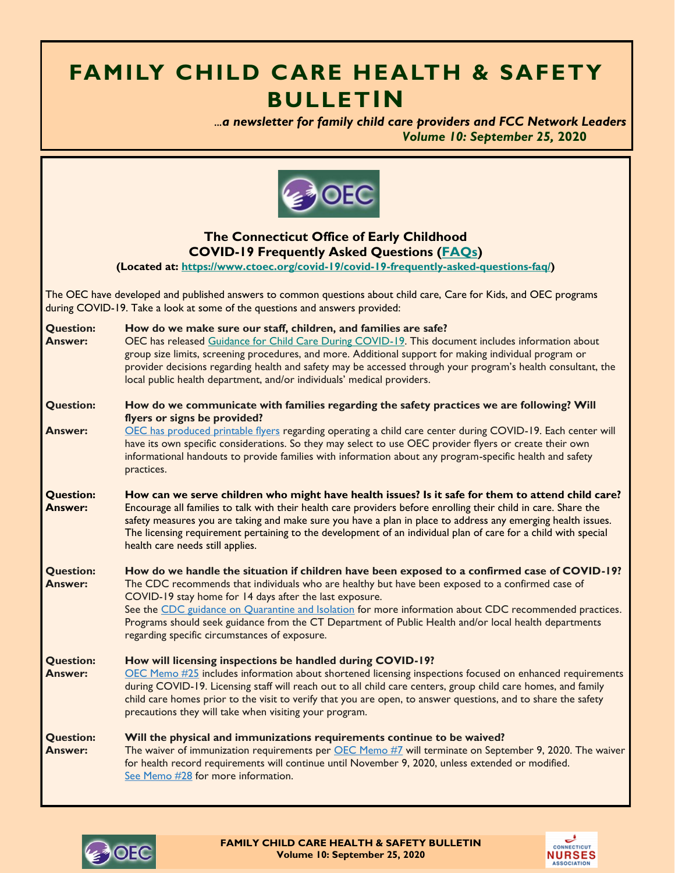# **FAMILY CHILD CARE HEALTH & SAFETY BULLETIN**

 *...a newsletter for family child care providers and FCC Network Leaders Volume 10: September 25,* **2020**



**The Connecticut Office of Early Childhood COVID-19 Frequently Asked Questions ([FAQs\)](https://www.ctoec.org/covid-19/covid-19-frequently-asked-questions-faq/)**

**(Located at: [https://www.ctoec.org/covid-19/covid-19-frequently-asked-questions-faq/\)](https://www.ctoec.org/covid-19/covid-19-frequently-asked-questions-faq/)**

The OEC have developed and published answers to common questions about child care, Care for Kids, and OEC programs during COVID-19. Take a look at some of the questions and answers provided:

| <b>Question:</b><br><b>Answer:</b> | How do we make sure our staff, children, and families are safe?<br>OEC has released Guidance for Child Care During COVID-19. This document includes information about<br>group size limits, screening procedures, and more. Additional support for making individual program or<br>provider decisions regarding health and safety may be accessed through your program's health consultant, the<br>local public health department, and/or individuals' medical providers.                  |  |
|------------------------------------|--------------------------------------------------------------------------------------------------------------------------------------------------------------------------------------------------------------------------------------------------------------------------------------------------------------------------------------------------------------------------------------------------------------------------------------------------------------------------------------------|--|
| <b>Question:</b>                   | How do we communicate with families regarding the safety practices we are following? Will<br>flyers or signs be provided?                                                                                                                                                                                                                                                                                                                                                                  |  |
| <b>Answer:</b>                     | OEC has produced printable flyers regarding operating a child care center during COVID-19. Each center will<br>have its own specific considerations. So they may select to use OEC provider flyers or create their own<br>informational handouts to provide families with information about any program-specific health and safety<br>practices.                                                                                                                                           |  |
| <b>Question:</b><br><b>Answer:</b> | How can we serve children who might have health issues? Is it safe for them to attend child care?<br>Encourage all families to talk with their health care providers before enrolling their child in care. Share the<br>safety measures you are taking and make sure you have a plan in place to address any emerging health issues.<br>The licensing requirement pertaining to the development of an individual plan of care for a child with special<br>health care needs still applies. |  |
| <b>Question:</b><br><b>Answer:</b> | How do we handle the situation if children have been exposed to a confirmed case of COVID-19?<br>The CDC recommends that individuals who are healthy but have been exposed to a confirmed case of<br>COVID-19 stay home for 14 days after the last exposure.<br>See the CDC guidance on Quarantine and Isolation for more information about CDC recommended practices.                                                                                                                     |  |
|                                    | Programs should seek guidance from the CT Department of Public Health and/or local health departments<br>regarding specific circumstances of exposure.                                                                                                                                                                                                                                                                                                                                     |  |
| <b>Question:</b><br><b>Answer:</b> | How will licensing inspections be handled during COVID-19?<br>OEC Memo #25 includes information about shortened licensing inspections focused on enhanced requirements<br>during COVID-19. Licensing staff will reach out to all child care centers, group child care homes, and family<br>child care homes prior to the visit to verify that you are open, to answer questions, and to share the safety<br>precautions they will take when visiting your program.                         |  |
| <b>Question:</b><br><b>Answer:</b> | Will the physical and immunizations requirements continue to be waived?<br>The waiver of immunization requirements per OEC Memo #7 will terminate on September 9, 2020. The waiver<br>for health record requirements will continue until November 9, 2020, unless extended or modified.<br>See Memo #28 for more information.                                                                                                                                                              |  |



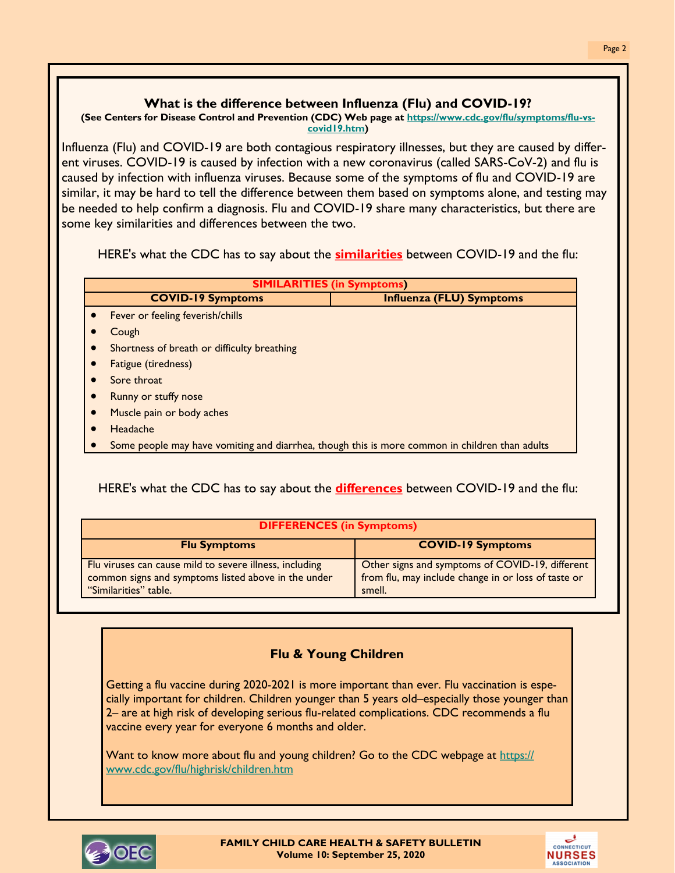#### **What is the difference between Influenza (Flu) and COVID-19?**

#### **(See Centers for Disease Control and Prevention (CDC) Web page at [https://www.cdc.gov/flu/symptoms/flu-vs](https://www.cdc.gov/flu/symptoms/flu-vs-covid19.htm)[covid19.htm\)](https://www.cdc.gov/flu/symptoms/flu-vs-covid19.htm)**

Influenza (Flu) and COVID-19 are both contagious respiratory illnesses, but they are caused by different viruses. COVID-19 is caused by infection with a new coronavirus (called SARS-CoV-2) and flu is caused by infection with influenza viruses. Because some of the symptoms of flu and COVID-19 are similar, it may be hard to tell the difference between them based on symptoms alone, and testing may be needed to help confirm a diagnosis. Flu and COVID-19 share many characteristics, but there are some key similarities and differences between the two.

HERE's what the CDC has to say about the **similarities** between COVID-19 and the flu:

| <b>SIMILARITIES (in Symptoms)</b>           |                                                                                                |  |  |
|---------------------------------------------|------------------------------------------------------------------------------------------------|--|--|
| <b>COVID-19 Symptoms</b>                    | <b>Influenza (FLU) Symptoms</b>                                                                |  |  |
| Fever or feeling feverish/chills            |                                                                                                |  |  |
| Cough                                       |                                                                                                |  |  |
| Shortness of breath or difficulty breathing |                                                                                                |  |  |
| <b>Fatigue (tiredness)</b>                  |                                                                                                |  |  |
| Sore throat                                 |                                                                                                |  |  |
| <b>Runny or stuffy nose</b>                 |                                                                                                |  |  |
| Muscle pain or body aches                   |                                                                                                |  |  |
| Headache                                    |                                                                                                |  |  |
|                                             | Some people may have vomiting and diarrhea, though this is more common in children than adults |  |  |

### HERE's what the CDC has to say about the **differences** between COVID-19 and the flu:

| <b>DIFFERENCES (in Symptoms)</b>                                                                                                        |                                                                                                                  |  |  |
|-----------------------------------------------------------------------------------------------------------------------------------------|------------------------------------------------------------------------------------------------------------------|--|--|
| <b>Flu Symptoms</b>                                                                                                                     | <b>COVID-19 Symptoms</b>                                                                                         |  |  |
| Flu viruses can cause mild to severe illness, including<br>common signs and symptoms listed above in the under<br>"Similarities" table. | Other signs and symptoms of COVID-19, different<br>from flu, may include change in or loss of taste or<br>smell. |  |  |

### **Flu & Young Children**

Getting a flu vaccine during 2020-2021 is more important than ever. Flu vaccination is especially important for children. Children younger than 5 years old–especially those younger than 2– are at high risk of developing serious flu-related complications. CDC recommends a flu vaccine every year for everyone 6 months and older.

Want to know more about flu and young children? Go to the CDC webpage at [https://](https://www.cdc.gov/flu/highrisk/children.htm) [www.cdc.gov/flu/highrisk/children.htm](https://www.cdc.gov/flu/highrisk/children.htm)